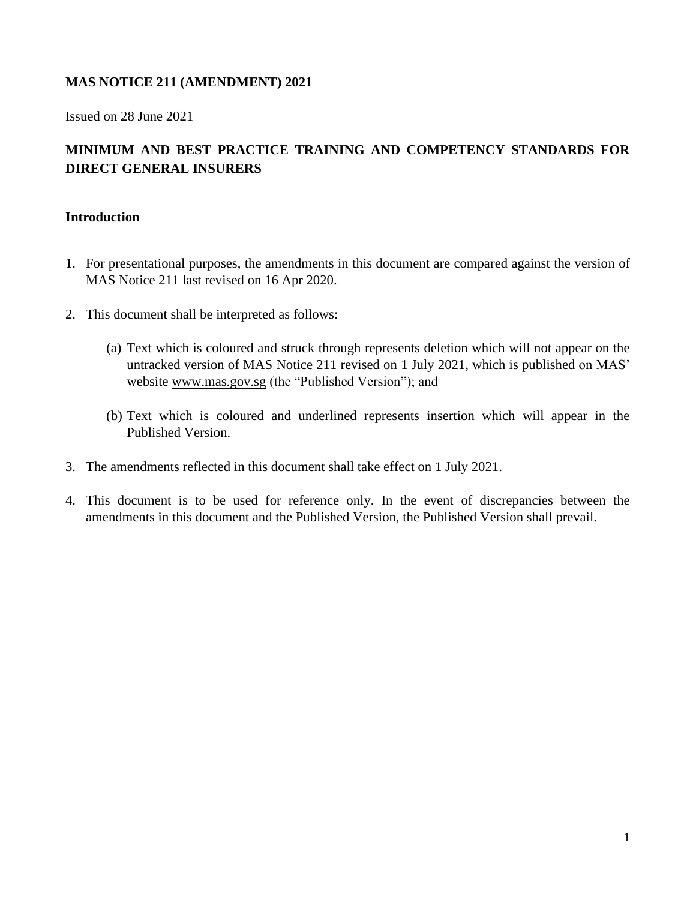# **MAS NOTICE 211 (AMENDMENT) 2021**

Issued on 28 June 2021

# **MINIMUM AND BEST PRACTICE TRAINING AND COMPETENCY STANDARDS FOR DIRECT GENERAL INSURERS**

### **Introduction**

- 1. For presentational purposes, the amendments in this document are compared against the version of MAS Notice 211 last revised on 16 Apr 2020.
- 2. This document shall be interpreted as follows:
	- (a) Text which is coloured and struck through represents deletion which will not appear on the untracked version of MAS Notice 211 revised on 1 July 2021, which is published on MAS' website [www.mas.gov.sg](http://www.mas.gov.sg/) (the "Published Version"); and
	- (b) Text which is coloured and underlined represents insertion which will appear in the Published Version.
- 3. The amendments reflected in this document shall take effect on 1 July 2021.
- 4. This document is to be used for reference only. In the event of discrepancies between the amendments in this document and the Published Version, the Published Version shall prevail.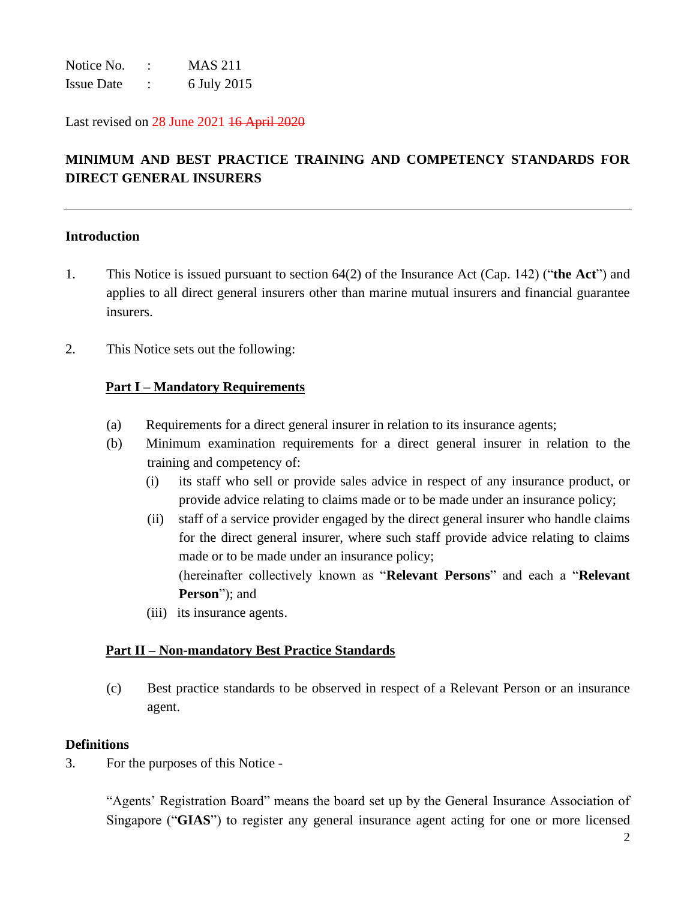Notice No. : MAS 211 Issue Date : 6 July 2015

Last revised on 28 June 2021 16 April 2020

# **MINIMUM AND BEST PRACTICE TRAINING AND COMPETENCY STANDARDS FOR DIRECT GENERAL INSURERS**

#### **Introduction**

- 1. This Notice is issued pursuant to section 64(2) of the Insurance Act (Cap. 142) ("**the Act**") and applies to all direct general insurers other than marine mutual insurers and financial guarantee insurers.
- 2. This Notice sets out the following:

#### **Part I – Mandatory Requirements**

- (a) Requirements for a direct general insurer in relation to its insurance agents;
- (b) Minimum examination requirements for a direct general insurer in relation to the training and competency of:
	- (i) its staff who sell or provide sales advice in respect of any insurance product, or provide advice relating to claims made or to be made under an insurance policy;
	- (ii) staff of a service provider engaged by the direct general insurer who handle claims for the direct general insurer, where such staff provide advice relating to claims made or to be made under an insurance policy; (hereinafter collectively known as "**Relevant Persons**" and each a "**Relevant Person**"); and
	- (iii) its insurance agents.

## **Part II – Non-mandatory Best Practice Standards**

(c) Best practice standards to be observed in respect of a Relevant Person or an insurance agent.

#### **Definitions**

3. For the purposes of this Notice -

"Agents' Registration Board" means the board set up by the General Insurance Association of Singapore ("**GIAS**") to register any general insurance agent acting for one or more licensed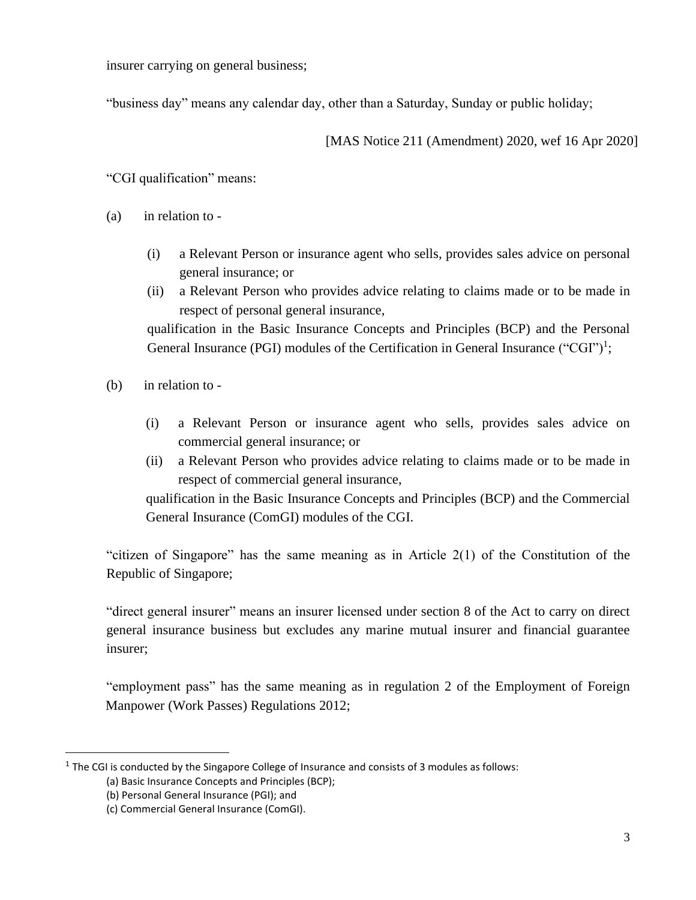insurer carrying on general business;

"business day" means any calendar day, other than a Saturday, Sunday or public holiday;

[MAS Notice 211 (Amendment) 2020, wef 16 Apr 2020]

"CGI qualification" means:

- (a) in relation to
	- (i) a Relevant Person or insurance agent who sells, provides sales advice on personal general insurance; or
	- (ii) a Relevant Person who provides advice relating to claims made or to be made in respect of personal general insurance,

qualification in the Basic Insurance Concepts and Principles (BCP) and the Personal General Insurance (PGI) modules of the Certification in General Insurance ("CGI")<sup>1</sup>;

- (b) in relation to
	- (i) a Relevant Person or insurance agent who sells, provides sales advice on commercial general insurance; or
	- (ii) a Relevant Person who provides advice relating to claims made or to be made in respect of commercial general insurance,

qualification in the Basic Insurance Concepts and Principles (BCP) and the Commercial General Insurance (ComGI) modules of the CGI.

"citizen of Singapore" has the same meaning as in Article 2(1) of the Constitution of the Republic of Singapore;

"direct general insurer" means an insurer licensed under section 8 of the Act to carry on direct general insurance business but excludes any marine mutual insurer and financial guarantee insurer;

"employment pass" has the same meaning as in regulation 2 of the Employment of Foreign Manpower (Work Passes) Regulations 2012;

 $<sup>1</sup>$  The CGI is conducted by the Singapore College of Insurance and consists of 3 modules as follows:</sup>

<sup>(</sup>a) Basic Insurance Concepts and Principles (BCP);

<sup>(</sup>b) Personal General Insurance (PGI); and

<sup>(</sup>c) Commercial General Insurance (ComGI).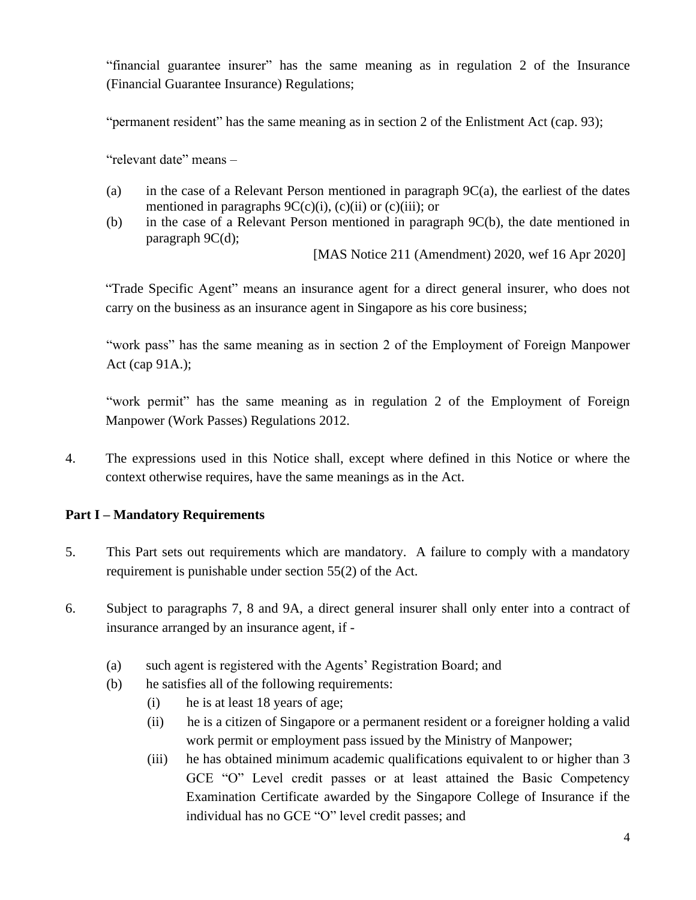"financial guarantee insurer" has the same meaning as in regulation 2 of the Insurance (Financial Guarantee Insurance) Regulations;

"permanent resident" has the same meaning as in section 2 of the Enlistment Act (cap. 93);

"relevant date" means –

- (a) in the case of a Relevant Person mentioned in paragraph 9C(a), the earliest of the dates mentioned in paragraphs  $9C(c)(i)$ ,  $(c)(ii)$  or  $(c)(iii)$ ; or
- (b) in the case of a Relevant Person mentioned in paragraph 9C(b), the date mentioned in paragraph 9C(d);

[MAS Notice 211 (Amendment) 2020, wef 16 Apr 2020]

"Trade Specific Agent" means an insurance agent for a direct general insurer, who does not carry on the business as an insurance agent in Singapore as his core business;

"work pass" has the same meaning as in section 2 of the Employment of Foreign Manpower Act (cap 91A.);

"work permit" has the same meaning as in regulation 2 of the Employment of Foreign Manpower (Work Passes) Regulations 2012.

4. The expressions used in this Notice shall, except where defined in this Notice or where the context otherwise requires, have the same meanings as in the Act.

## **Part I – Mandatory Requirements**

- 5. This Part sets out requirements which are mandatory. A failure to comply with a mandatory requirement is punishable under section 55(2) of the Act.
- 6. Subject to paragraphs 7, 8 and 9A, a direct general insurer shall only enter into a contract of insurance arranged by an insurance agent, if -
	- (a) such agent is registered with the Agents' Registration Board; and
	- (b)he satisfies all of the following requirements:
		- (i) he is at least 18 years of age;
		- (ii) he is a citizen of Singapore or a permanent resident or a foreigner holding a valid work permit or employment pass issued by the Ministry of Manpower;
		- (iii) he has obtained minimum academic qualifications equivalent to or higher than 3 GCE "O" Level credit passes or at least attained the Basic Competency Examination Certificate awarded by the Singapore College of Insurance if the individual has no GCE "O" level credit passes; and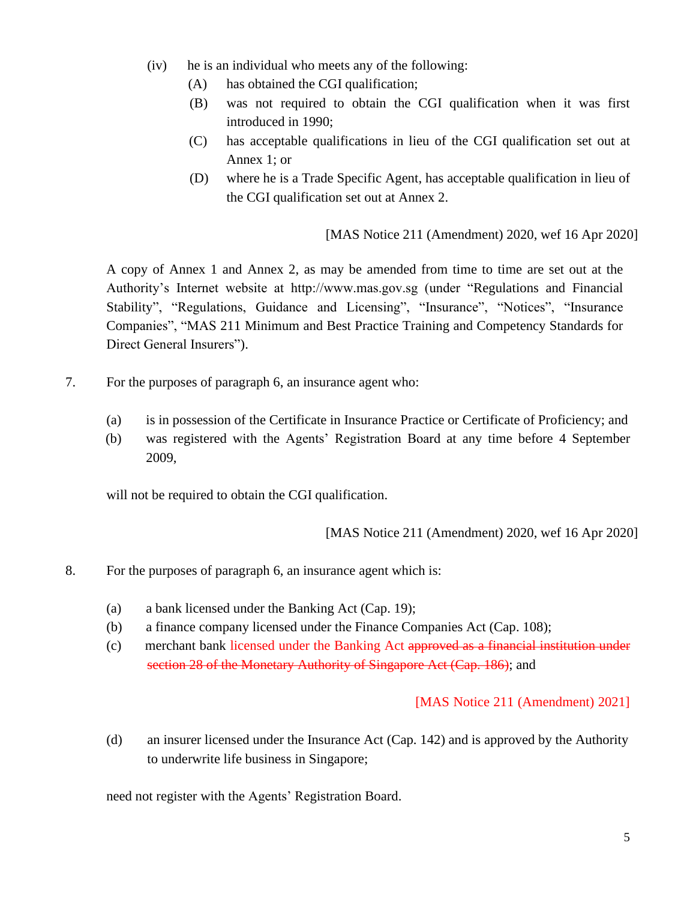- (iv) he is an individual who meets any of the following:
	- (A) has obtained the CGI qualification;
	- (B) was not required to obtain the CGI qualification when it was first introduced in 1990;
	- (C) has acceptable qualifications in lieu of the CGI qualification set out at Annex 1; or
	- (D) where he is a Trade Specific Agent, has acceptable qualification in lieu of the CGI qualification set out at Annex 2.

[MAS Notice 211 (Amendment) 2020, wef 16 Apr 2020]

A copy of Annex 1 and Annex 2, as may be amended from time to time are set out at the Authority's Internet website at http://www.mas.gov.sg (under "Regulations and Financial Stability", "Regulations, Guidance and Licensing", "Insurance", "Notices", "Insurance Companies", "MAS 211 Minimum and Best Practice Training and Competency Standards for Direct General Insurers").

- 7. For the purposes of paragraph 6, an insurance agent who:
	- (a) is in possession of the Certificate in Insurance Practice or Certificate of Proficiency; and
	- (b) was registered with the Agents' Registration Board at any time before 4 September 2009,

will not be required to obtain the CGI qualification.

[MAS Notice 211 (Amendment) 2020, wef 16 Apr 2020]

- 8. For the purposes of paragraph 6, an insurance agent which is:
	- (a) a bank licensed under the Banking Act (Cap. 19);
	- (b) a finance company licensed under the Finance Companies Act (Cap. 108);
	- (c) merchant bank licensed under the Banking Act approved as a financial institution under section 28 of the Monetary Authority of Singapore Act (Cap. 186); and

#### [MAS Notice 211 (Amendment) 2021]

(d) an insurer licensed under the Insurance Act (Cap. 142) and is approved by the Authority to underwrite life business in Singapore;

need not register with the Agents' Registration Board.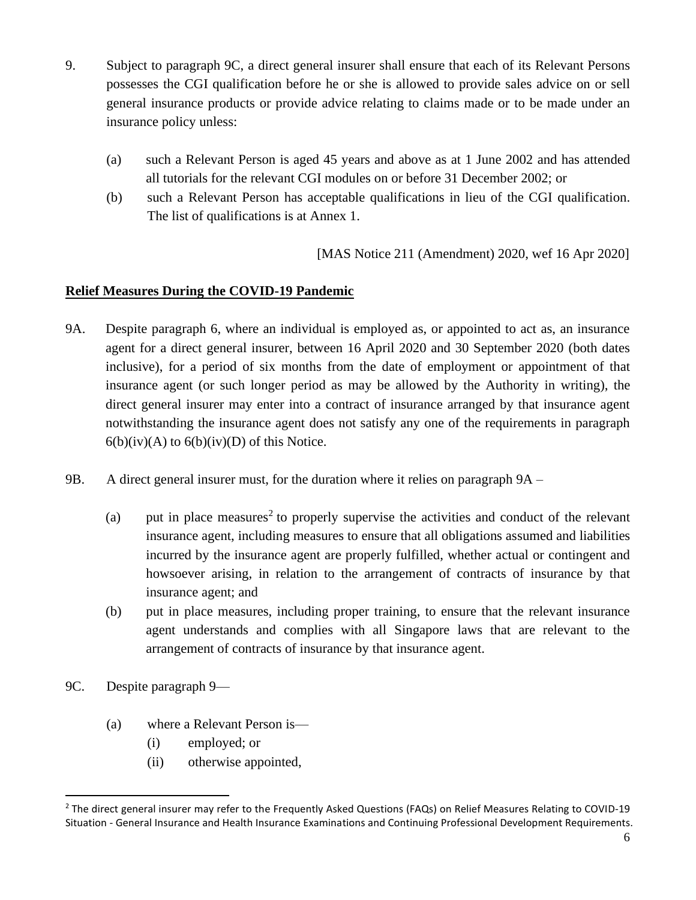- 9. Subject to paragraph 9C, a direct general insurer shall ensure that each of its Relevant Persons possesses the CGI qualification before he or she is allowed to provide sales advice on or sell general insurance products or provide advice relating to claims made or to be made under an insurance policy unless:
	- (a) such a Relevant Person is aged 45 years and above as at 1 June 2002 and has attended all tutorials for the relevant CGI modules on or before 31 December 2002; or
	- (b) such a Relevant Person has acceptable qualifications in lieu of the CGI qualification. The list of qualifications is at Annex 1.

[MAS Notice 211 (Amendment) 2020, wef 16 Apr 2020]

# **Relief Measures During the COVID-19 Pandemic**

- 9A. Despite paragraph 6, where an individual is employed as, or appointed to act as, an insurance agent for a direct general insurer, between 16 April 2020 and 30 September 2020 (both dates inclusive), for a period of six months from the date of employment or appointment of that insurance agent (or such longer period as may be allowed by the Authority in writing), the direct general insurer may enter into a contract of insurance arranged by that insurance agent notwithstanding the insurance agent does not satisfy any one of the requirements in paragraph  $6(b)(iv)(A)$  to  $6(b)(iv)(D)$  of this Notice.
- 9B. A direct general insurer must, for the duration where it relies on paragraph 9A
	- (a) put in place measures<sup>2</sup> to properly supervise the activities and conduct of the relevant insurance agent, including measures to ensure that all obligations assumed and liabilities incurred by the insurance agent are properly fulfilled, whether actual or contingent and howsoever arising, in relation to the arrangement of contracts of insurance by that insurance agent; and
	- (b) put in place measures, including proper training, to ensure that the relevant insurance agent understands and complies with all Singapore laws that are relevant to the arrangement of contracts of insurance by that insurance agent.
- 9C. Despite paragraph 9—
	- (a) where a Relevant Person is—
		- (i) employed; or
		- (ii) otherwise appointed,

<sup>&</sup>lt;sup>2</sup> The direct general insurer may refer to the Frequently Asked Questions (FAQs) on Relief Measures Relating to COVID-19 Situation - General Insurance and Health Insurance Examinations and Continuing Professional Development Requirements.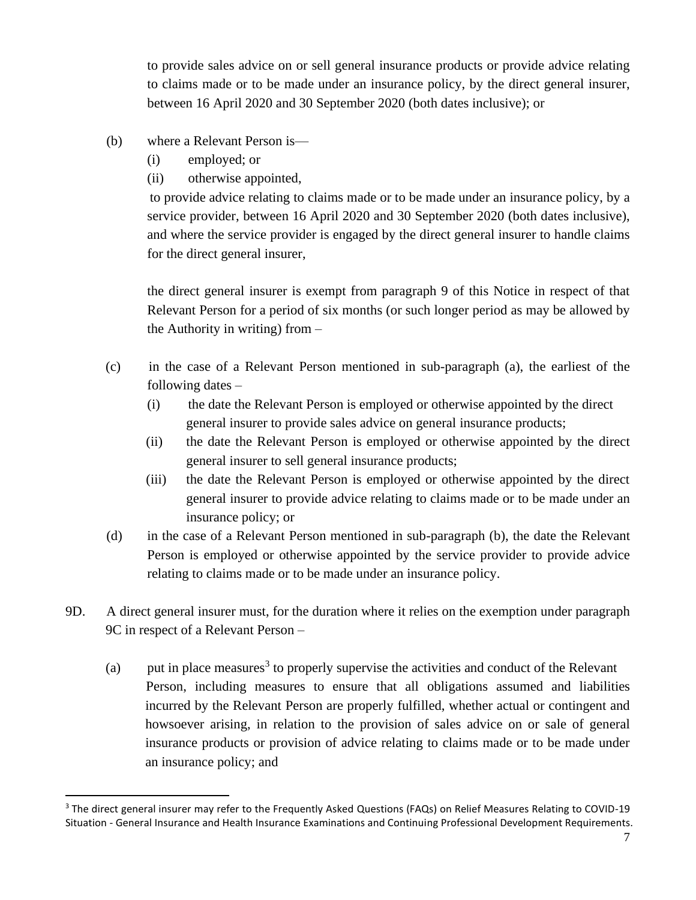to provide sales advice on or sell general insurance products or provide advice relating to claims made or to be made under an insurance policy, by the direct general insurer, between 16 April 2020 and 30 September 2020 (both dates inclusive); or

- (b) where a Relevant Person is—
	- (i) employed; or
	- (ii) otherwise appointed,

to provide advice relating to claims made or to be made under an insurance policy, by a service provider, between 16 April 2020 and 30 September 2020 (both dates inclusive), and where the service provider is engaged by the direct general insurer to handle claims for the direct general insurer,

the direct general insurer is exempt from paragraph 9 of this Notice in respect of that Relevant Person for a period of six months (or such longer period as may be allowed by the Authority in writing) from –

- (c) in the case of a Relevant Person mentioned in sub-paragraph (a), the earliest of the following dates –
	- (i) the date the Relevant Person is employed or otherwise appointed by the direct general insurer to provide sales advice on general insurance products;
	- (ii) the date the Relevant Person is employed or otherwise appointed by the direct general insurer to sell general insurance products;
	- (iii) the date the Relevant Person is employed or otherwise appointed by the direct general insurer to provide advice relating to claims made or to be made under an insurance policy; or
- (d) in the case of a Relevant Person mentioned in sub-paragraph (b), the date the Relevant Person is employed or otherwise appointed by the service provider to provide advice relating to claims made or to be made under an insurance policy.
- 9D. A direct general insurer must, for the duration where it relies on the exemption under paragraph 9C in respect of a Relevant Person –
	- (a) put in place measures<sup>3</sup> to properly supervise the activities and conduct of the Relevant Person, including measures to ensure that all obligations assumed and liabilities incurred by the Relevant Person are properly fulfilled, whether actual or contingent and howsoever arising, in relation to the provision of sales advice on or sale of general insurance products or provision of advice relating to claims made or to be made under an insurance policy; and

<sup>&</sup>lt;sup>3</sup> The direct general insurer may refer to the Frequently Asked Questions (FAQs) on Relief Measures Relating to COVID-19 Situation - General Insurance and Health Insurance Examinations and Continuing Professional Development Requirements.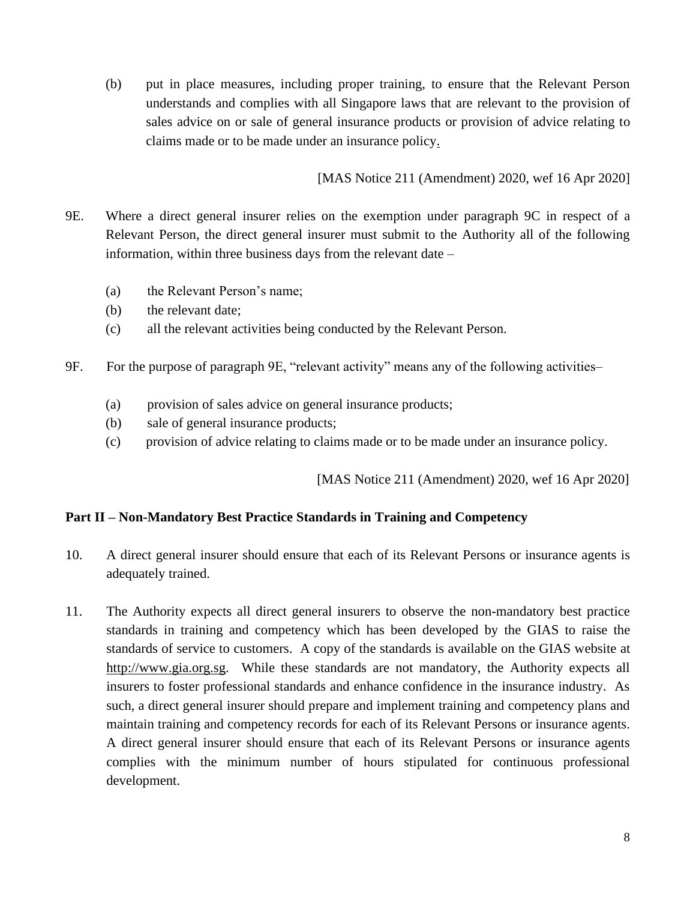(b) put in place measures, including proper training, to ensure that the Relevant Person understands and complies with all Singapore laws that are relevant to the provision of sales advice on or sale of general insurance products or provision of advice relating to claims made or to be made under an insurance policy.

[MAS Notice 211 (Amendment) 2020, wef 16 Apr 2020]

- 9E. Where a direct general insurer relies on the exemption under paragraph 9C in respect of a Relevant Person, the direct general insurer must submit to the Authority all of the following information, within three business days from the relevant date –
	- (a) the Relevant Person's name;
	- (b) the relevant date;
	- (c) all the relevant activities being conducted by the Relevant Person.
- 9F. For the purpose of paragraph 9E, "relevant activity" means any of the following activities–
	- (a) provision of sales advice on general insurance products;
	- (b) sale of general insurance products;
	- (c) provision of advice relating to claims made or to be made under an insurance policy.

[MAS Notice 211 (Amendment) 2020, wef 16 Apr 2020]

## **Part II – Non-Mandatory Best Practice Standards in Training and Competency**

- 10. A direct general insurer should ensure that each of its Relevant Persons or insurance agents is adequately trained.
- 11. The Authority expects all direct general insurers to observe the non-mandatory best practice standards in training and competency which has been developed by the GIAS to raise the standards of service to customers. A copy of the standards is available on the GIAS website at [http://www.gia.org.sg.](http://www.gia.org.sg/) While these standards are not mandatory, the Authority expects all insurers to foster professional standards and enhance confidence in the insurance industry. As such, a direct general insurer should prepare and implement training and competency plans and maintain training and competency records for each of its Relevant Persons or insurance agents. A direct general insurer should ensure that each of its Relevant Persons or insurance agents complies with the minimum number of hours stipulated for continuous professional development.